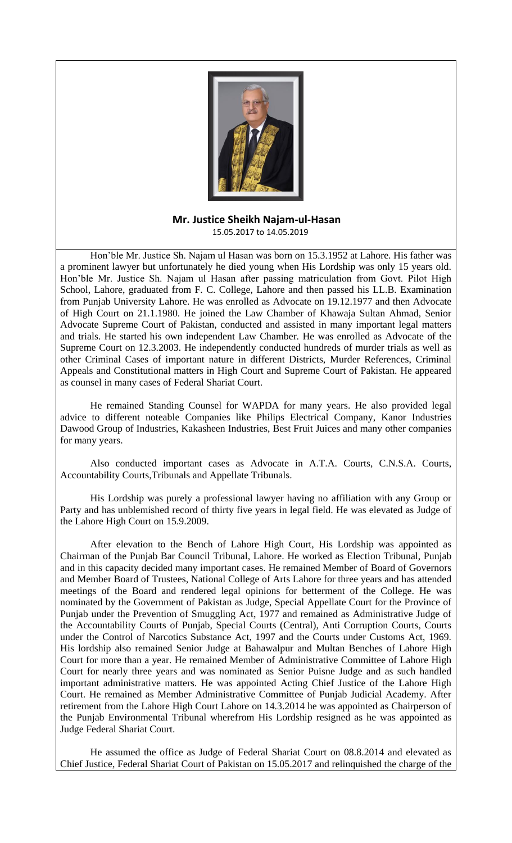

## **Mr. Justice Sheikh Najam-ul-Hasan** 15.05.2017 to 14.05.2019

Hon'ble Mr. Justice Sh. Najam ul Hasan was born on 15.3.1952 at Lahore. His father was a prominent lawyer but unfortunately he died young when His Lordship was only 15 years old. Hon'ble Mr. Justice Sh. Najam ul Hasan after passing matriculation from Govt. Pilot High School, Lahore, graduated from F. C. College, Lahore and then passed his LL.B. Examination from Punjab University Lahore. He was enrolled as Advocate on 19.12.1977 and then Advocate of High Court on 21.1.1980. He joined the Law Chamber of Khawaja Sultan Ahmad, Senior Advocate Supreme Court of Pakistan, conducted and assisted in many important legal matters and trials. He started his own independent Law Chamber. He was enrolled as Advocate of the Supreme Court on 12.3.2003. He independently conducted hundreds of murder trials as well as other Criminal Cases of important nature in different Districts, Murder References, Criminal Appeals and Constitutional matters in High Court and Supreme Court of Pakistan. He appeared as counsel in many cases of Federal Shariat Court.

He remained Standing Counsel for WAPDA for many years. He also provided legal advice to different noteable Companies like Philips Electrical Company, Kanor Industries Dawood Group of Industries, Kakasheen Industries, Best Fruit Juices and many other companies for many years.

Also conducted important cases as Advocate in A.T.A. Courts, C.N.S.A. Courts, Accountability Courts,Tribunals and Appellate Tribunals.

His Lordship was purely a professional lawyer having no affiliation with any Group or Party and has unblemished record of thirty five years in legal field. He was elevated as Judge of the Lahore High Court on 15.9.2009.

After elevation to the Bench of Lahore High Court, His Lordship was appointed as Chairman of the Punjab Bar Council Tribunal, Lahore. He worked as Election Tribunal, Punjab and in this capacity decided many important cases. He remained Member of Board of Governors and Member Board of Trustees, National College of Arts Lahore for three years and has attended meetings of the Board and rendered legal opinions for betterment of the College. He was nominated by the Government of Pakistan as Judge, Special Appellate Court for the Province of Punjab under the Prevention of Smuggling Act, 1977 and remained as Administrative Judge of the Accountability Courts of Punjab, Special Courts (Central), Anti Corruption Courts, Courts under the Control of Narcotics Substance Act, 1997 and the Courts under Customs Act, 1969. His lordship also remained Senior Judge at Bahawalpur and Multan Benches of Lahore High Court for more than a year. He remained Member of Administrative Committee of Lahore High Court for nearly three years and was nominated as Senior Puisne Judge and as such handled important administrative matters. He was appointed Acting Chief Justice of the Lahore High Court. He remained as Member Administrative Committee of Punjab Judicial Academy. After retirement from the Lahore High Court Lahore on 14.3.2014 he was appointed as Chairperson of the Punjab Environmental Tribunal wherefrom His Lordship resigned as he was appointed as Judge Federal Shariat Court.

He assumed the office as Judge of Federal Shariat Court on 08.8.2014 and elevated as Chief Justice, Federal Shariat Court of Pakistan on 15.05.2017 and relinquished the charge of the